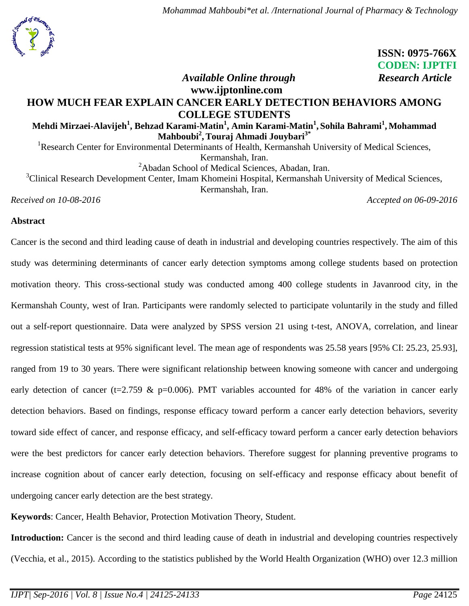

# **ISSN: 0975-766X CODEN: IJPTFI** *Available Online through Research Article*

# **www.ijptonline.com HOW MUCH FEAR EXPLAIN CANCER EARLY DETECTION BEHAVIORS AMONG COLLEGE STUDENTS**

**Mehdi Mirzaei-Alavijeh<sup>1</sup> , Behzad Karami-Matin<sup>1</sup> , Amin Karami-Matin<sup>1</sup> , Sohila Bahrami<sup>1</sup> , Mohammad Mahboubi<sup>2</sup> ,Touraj Ahmadi Jouybari3\***

<sup>1</sup>Research Center for Environmental Determinants of Health, Kermanshah University of Medical Sciences, Kermanshah, Iran.

<sup>2</sup>Abadan School of Medical Sciences, Abadan, Iran.

<sup>3</sup>Clinical Research Development Center, Imam Khomeini Hospital, Kermanshah University of Medical Sciences, Kermanshah, Iran.

*Received on 10-08-2016* Accepted on 06-09-2016

## **Abstract**

Cancer is the second and third leading cause of death in industrial and developing countries respectively. The aim of this study was determining determinants of cancer early detection symptoms among college students based on protection motivation theory. This cross-sectional study was conducted among 400 college students in Javanrood city, in the Kermanshah County, west of Iran. Participants were randomly selected to participate voluntarily in the study and filled out a self-report questionnaire. Data were analyzed by SPSS version 21 using t-test, ANOVA, correlation, and linear regression statistical tests at 95% significant level. The mean age of respondents was 25.58 years [95% CI: 25.23, 25.93], ranged from 19 to 30 years. There were significant relationship between knowing someone with cancer and undergoing early detection of cancer (t=2.759 & p=0.006). PMT variables accounted for 48% of the variation in cancer early detection behaviors. Based on findings, response efficacy toward perform a cancer early detection behaviors, severity toward side effect of cancer, and response efficacy, and self-efficacy toward perform a cancer early detection behaviors were the best predictors for cancer early detection behaviors. Therefore suggest for planning preventive programs to increase cognition about of cancer early detection, focusing on self-efficacy and response efficacy about benefit of undergoing cancer early detection are the best strategy.

**Keywords**: Cancer, Health Behavior, Protection Motivation Theory, Student.

Introduction: Cancer is the second and third leading cause of death in industrial and developing countries respectively (Vecchia, et al., 2015). According to the statistics published by the World Health Organization (WHO) over 12.3 million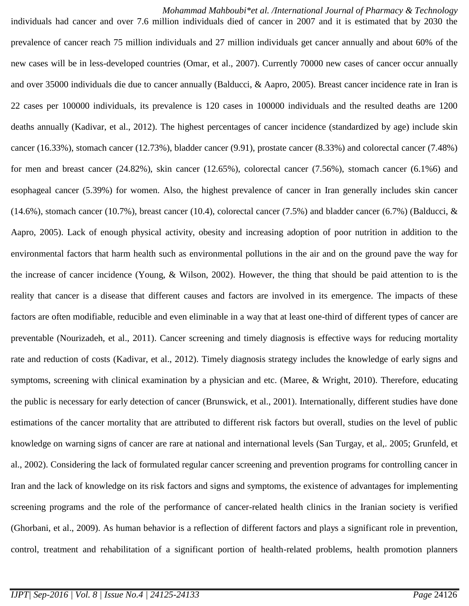*Mohammad Mahboubi\*et al. /International Journal of Pharmacy & Technology* individuals had cancer and over 7.6 million individuals died of cancer in 2007 and it is estimated that by 2030 the prevalence of cancer reach 75 million individuals and 27 million individuals get cancer annually and about 60% of the new cases will be in less-developed countries (Omar, et al., 2007). Currently 70000 new cases of cancer occur annually and over 35000 individuals die due to cancer annually (Balducci, & Aapro, 2005). Breast cancer incidence rate in Iran is 22 cases per 100000 individuals, its prevalence is 120 cases in 100000 individuals and the resulted deaths are 1200 deaths annually (Kadivar, et al., 2012). The highest percentages of cancer incidence (standardized by age) include skin cancer (16.33%), stomach cancer (12.73%), bladder cancer (9.91), prostate cancer (8.33%) and colorectal cancer (7.48%) for men and breast cancer (24.82%), skin cancer (12.65%), colorectal cancer (7.56%), stomach cancer (6.1%6) and esophageal cancer (5.39%) for women. Also, the highest prevalence of cancer in Iran generally includes skin cancer  $(14.6\%)$ , stomach cancer  $(10.7\%)$ , breast cancer  $(10.4)$ , colorectal cancer  $(7.5\%)$  and bladder cancer  $(6.7\%)$  (Balducci, & Aapro, 2005). Lack of enough physical activity, obesity and increasing adoption of poor nutrition in addition to the environmental factors that harm health such as environmental pollutions in the air and on the ground pave the way for the increase of cancer incidence (Young, & Wilson, 2002). However, the thing that should be paid attention to is the reality that cancer is a disease that different causes and factors are involved in its emergence. The impacts of these factors are often modifiable, reducible and even eliminable in a way that at least one-third of different types of cancer are preventable (Nourizadeh, et al., 2011). Cancer screening and timely diagnosis is effective ways for reducing mortality rate and reduction of costs (Kadivar, et al., 2012). Timely diagnosis strategy includes the knowledge of early signs and symptoms, screening with clinical examination by a physician and etc. (Maree,  $\&$  Wright, 2010). Therefore, educating the public is necessary for early detection of cancer (Brunswick, et al., 2001). Internationally, different studies have done estimations of the cancer mortality that are attributed to different risk factors but overall, studies on the level of public knowledge on warning signs of cancer are rare at national and international levels (San Turgay, et al,. 2005; Grunfeld, et al., 2002). Considering the lack of formulated regular cancer screening and prevention programs for controlling cancer in Iran and the lack of knowledge on its risk factors and signs and symptoms, the existence of advantages for implementing screening programs and the role of the performance of cancer-related health clinics in the Iranian society is verified (Ghorbani, et al., 2009). As human behavior is a reflection of different factors and plays a significant role in prevention, control, treatment and rehabilitation of a significant portion of health-related problems, health promotion planners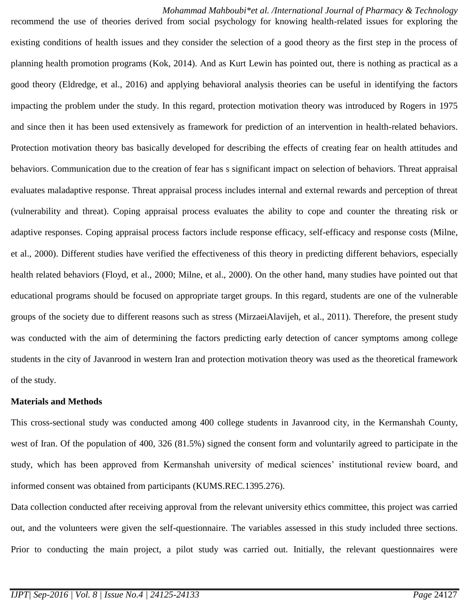*Mohammad Mahboubi\*et al. /International Journal of Pharmacy & Technology* recommend the use of theories derived from social psychology for knowing health-related issues for exploring the existing conditions of health issues and they consider the selection of a good theory as the first step in the process of planning health promotion programs (Kok, 2014). And as Kurt Lewin has pointed out, there is nothing as practical as a good theory (Eldredge, et al., 2016) and applying behavioral analysis theories can be useful in identifying the factors impacting the problem under the study. In this regard, protection motivation theory was introduced by Rogers in 1975 and since then it has been used extensively as framework for prediction of an intervention in health-related behaviors. Protection motivation theory bas basically developed for describing the effects of creating fear on health attitudes and behaviors. Communication due to the creation of fear has s significant impact on selection of behaviors. Threat appraisal evaluates maladaptive response. Threat appraisal process includes internal and external rewards and perception of threat (vulnerability and threat). Coping appraisal process evaluates the ability to cope and counter the threating risk or adaptive responses. Coping appraisal process factors include response efficacy, self-efficacy and response costs (Milne, et al., 2000). Different studies have verified the effectiveness of this theory in predicting different behaviors, especially health related behaviors (Floyd, et al., 2000; Milne, et al., 2000). On the other hand, many studies have pointed out that educational programs should be focused on appropriate target groups. In this regard, students are one of the vulnerable groups of the society due to different reasons such as stress (MirzaeiAlavijeh, et al., 2011). Therefore, the present study was conducted with the aim of determining the factors predicting early detection of cancer symptoms among college students in the city of Javanrood in western Iran and protection motivation theory was used as the theoretical framework of the study.

#### **Materials and Methods**

This cross-sectional study was conducted among 400 college students in Javanrood city, in the Kermanshah County, west of Iran. Of the population of 400, 326 (81.5%) signed the consent form and voluntarily agreed to participate in the study, which has been approved from Kermanshah university of medical sciences' institutional review board, and informed consent was obtained from participants (KUMS.REC.1395.276).

Data collection conducted after receiving approval from the relevant university ethics committee, this project was carried out, and the volunteers were given the self-questionnaire. The variables assessed in this study included three sections. Prior to conducting the main project, a pilot study was carried out. Initially, the relevant questionnaires were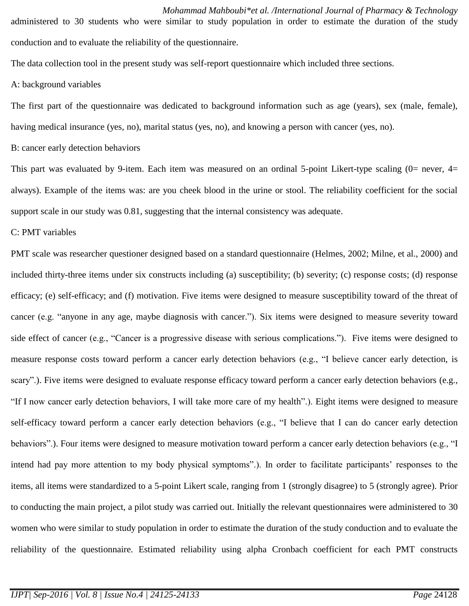*Mohammad Mahboubi\*et al. /International Journal of Pharmacy & Technology* administered to 30 students who were similar to study population in order to estimate the duration of the study conduction and to evaluate the reliability of the questionnaire.

The data collection tool in the present study was self-report questionnaire which included three sections.

#### A: background variables

The first part of the questionnaire was dedicated to background information such as age (years), sex (male, female), having medical insurance (yes, no), marital status (yes, no), and knowing a person with cancer (yes, no).

B: cancer early detection behaviors

This part was evaluated by 9-item. Each item was measured on an ordinal 5-point Likert-type scaling  $(0=$  never,  $4=$ always). Example of the items was: are you cheek blood in the urine or stool. The reliability coefficient for the social support scale in our study was 0.81, suggesting that the internal consistency was adequate.

### C: PMT variables

PMT scale was researcher questioner designed based on a standard questionnaire (Helmes, 2002; Milne, et al., 2000) and included thirty-three items under six constructs including (a) susceptibility; (b) severity; (c) response costs; (d) response efficacy; (e) self-efficacy; and (f) motivation. Five items were designed to measure susceptibility toward of the threat of cancer (e.g. "anyone in any age, maybe diagnosis with cancer."). Six items were designed to measure severity toward side effect of cancer (e.g., "Cancer is a progressive disease with serious complications."). Five items were designed to measure response costs toward perform a cancer early detection behaviors (e.g., "I believe cancer early detection, is scary".). Five items were designed to evaluate response efficacy toward perform a cancer early detection behaviors (e.g., "If I now cancer early detection behaviors, I will take more care of my health".). Eight items were designed to measure self-efficacy toward perform a cancer early detection behaviors (e.g., "I believe that I can do cancer early detection behaviors".). Four items were designed to measure motivation toward perform a cancer early detection behaviors (e.g., "I intend had pay more attention to my body physical symptoms".). In order to facilitate participants' responses to the items, all items were standardized to a 5-point Likert scale, ranging from 1 (strongly disagree) to 5 (strongly agree). Prior to conducting the main project, a pilot study was carried out. Initially the relevant questionnaires were administered to 30 women who were similar to study population in order to estimate the duration of the study conduction and to evaluate the reliability of the questionnaire. Estimated reliability using alpha Cronbach coefficient for each PMT constructs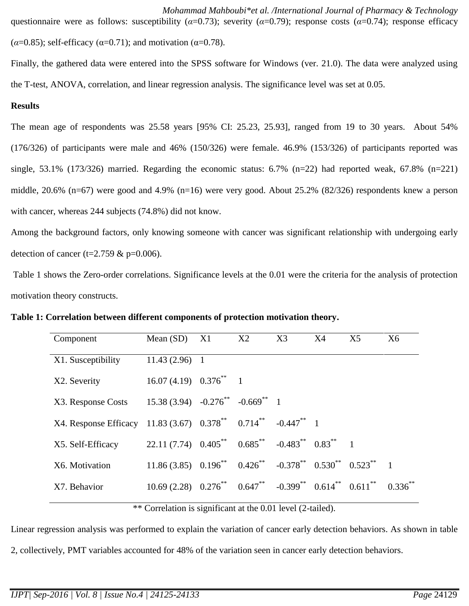*Mohammad Mahboubi\*et al. /International Journal of Pharmacy & Technology* questionnaire were as follows: susceptibility (*α*=0.73); severity (*α*=0.79); response costs (*α*=0.74); response efficacy  $(\alpha=0.85)$ ; self-efficacy ( $\alpha=0.71$ ); and motivation ( $\alpha=0.78$ ).

Finally, the gathered data were entered into the SPSS software for Windows (ver. 21.0). The data were analyzed using the T-test, ANOVA, correlation, and linear regression analysis. The significance level was set at 0.05.

## **Results**

The mean age of respondents was 25.58 years [95% CI: 25.23, 25.93], ranged from 19 to 30 years. About 54% (176/326) of participants were male and 46% (150/326) were female. 46.9% (153/326) of participants reported was single, 53.1% (173/326) married. Regarding the economic status:  $6.7\%$  (n=22) had reported weak,  $67.8\%$  (n=221) middle, 20.6% (n=67) were good and 4.9% (n=16) were very good. About 25.2% (82/326) respondents knew a person with cancer, whereas 244 subjects (74.8%) did not know.

Among the background factors, only knowing someone with cancer was significant relationship with undergoing early detection of cancer (t=2.759  $& p=0.006$ ).

Table 1 shows the Zero-order correlations. Significance levels at the 0.01 were the criteria for the analysis of protection motivation theory constructs.

| Component             | Mean $(SD)$                                                                       | X1             | X2 | X3                                  | X4 | X <sub>5</sub> | X <sub>6</sub> |
|-----------------------|-----------------------------------------------------------------------------------|----------------|----|-------------------------------------|----|----------------|----------------|
| X1. Susceptibility    | $11.43(2.96)$ 1                                                                   |                |    |                                     |    |                |                |
| X2. Severity          | $16.07(4.19)$ $0.376^{**}$ 1                                                      |                |    |                                     |    |                |                |
| X3. Response Costs    | $15.38(3.94) -0.276^{**} -0.669^{**}$ 1                                           |                |    |                                     |    |                |                |
| X4. Response Efficacy | $11.83(3.67)$ $0.378^{**}$ $0.714^{**}$ $-0.447^{**}$ 1                           |                |    |                                     |    |                |                |
| X5. Self-Efficacy     | 22.11 (7.74) $0.405^{**}$ $0.685^{**}$ $-0.483^{**}$ $0.83^{**}$ 1                |                |    |                                     |    |                |                |
| X6. Motivation        | $11.86(3.85)$ $0.196^{**}$ $0.426^{**}$ $-0.378^{**}$ $0.530^{**}$ $0.523^{**}$ 1 |                |    |                                     |    |                |                |
| X7. Behavior          | $10.69(2.28)$ $0.276^{**}$ $0.647^{**}$ $-0.399^{**}$ $0.614^{**}$ $0.611^{**}$   |                |    |                                     |    |                | $0.336**$      |
|                       | .                                                                                 | $\cdot$ $\sim$ |    | $\sim$ 0.011 $\sim$ 1.00 $\sim$ 1.1 |    |                |                |

**Table 1: Correlation between different components of protection motivation theory.**

\*\* Correlation is significant at the 0.01 level (2-tailed).

Linear regression analysis was performed to explain the variation of cancer early detection behaviors. As shown in table 2, collectively, PMT variables accounted for 48% of the variation seen in cancer early detection behaviors.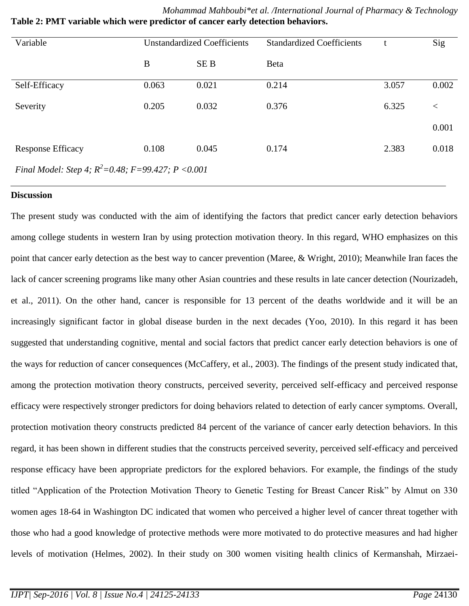| Variable                                                | <b>Unstandardized Coefficients</b> |            | <b>Standardized Coefficients</b> |       | Sig   |  |  |  |  |  |
|---------------------------------------------------------|------------------------------------|------------|----------------------------------|-------|-------|--|--|--|--|--|
|                                                         | B                                  | <b>SEB</b> | Beta                             |       |       |  |  |  |  |  |
| Self-Efficacy                                           | 0.063                              | 0.021      | 0.214                            | 3.057 | 0.002 |  |  |  |  |  |
| Severity                                                | 0.205                              | 0.032      | 0.376                            | 6.325 | $\lt$ |  |  |  |  |  |
|                                                         |                                    |            |                                  |       | 0.001 |  |  |  |  |  |
| Response Efficacy                                       | 0.108                              | 0.045      | 0.174                            | 2.383 | 0.018 |  |  |  |  |  |
| Final Model: Step 4; $R^2 = 0.48$ ; F=99.427; P < 0.001 |                                    |            |                                  |       |       |  |  |  |  |  |

*Mohammad Mahboubi\*et al. /International Journal of Pharmacy & Technology* **Table 2: PMT variable which were predictor of cancer early detection behaviors.**

#### **Discussion**

The present study was conducted with the aim of identifying the factors that predict cancer early detection behaviors among college students in western Iran by using protection motivation theory. In this regard, WHO emphasizes on this point that cancer early detection as the best way to cancer prevention (Maree, & Wright, 2010); Meanwhile Iran faces the lack of cancer screening programs like many other Asian countries and these results in late cancer detection (Nourizadeh, et al., 2011). On the other hand, cancer is responsible for 13 percent of the deaths worldwide and it will be an increasingly significant factor in global disease burden in the next decades (Yoo, 2010). In this regard it has been suggested that understanding cognitive, mental and social factors that predict cancer early detection behaviors is one of the ways for reduction of cancer consequences (McCaffery, et al., 2003). The findings of the present study indicated that, among the protection motivation theory constructs, perceived severity, perceived self-efficacy and perceived response efficacy were respectively stronger predictors for doing behaviors related to detection of early cancer symptoms. Overall, protection motivation theory constructs predicted 84 percent of the variance of cancer early detection behaviors. In this regard, it has been shown in different studies that the constructs perceived severity, perceived self-efficacy and perceived response efficacy have been appropriate predictors for the explored behaviors. For example, the findings of the study titled "Application of the Protection Motivation Theory to Genetic Testing for Breast Cancer Risk" by Almut on 330 women ages 18-64 in Washington DC indicated that women who perceived a higher level of cancer threat together with those who had a good knowledge of protective methods were more motivated to do protective measures and had higher levels of motivation (Helmes, 2002). In their study on 300 women visiting health clinics of Kermanshah, Mirzaei-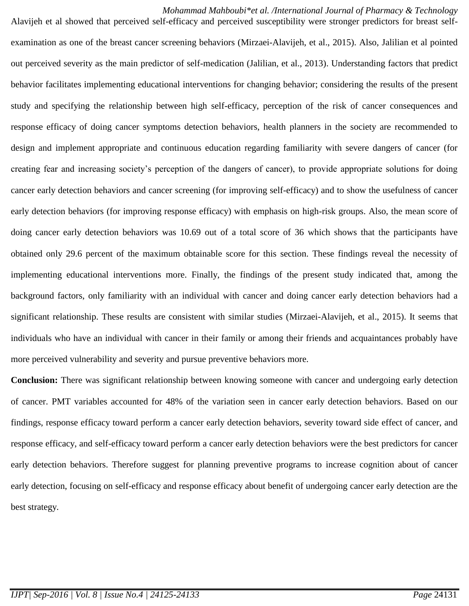*Mohammad Mahboubi\*et al. /International Journal of Pharmacy & Technology* Alavijeh et al showed that perceived self-efficacy and perceived susceptibility were stronger predictors for breast self-

examination as one of the breast cancer screening behaviors (Mirzaei-Alavijeh, et al., 2015). Also, Jalilian et al pointed out perceived severity as the main predictor of self-medication (Jalilian, et al., 2013). Understanding factors that predict behavior facilitates implementing educational interventions for changing behavior; considering the results of the present study and specifying the relationship between high self-efficacy, perception of the risk of cancer consequences and response efficacy of doing cancer symptoms detection behaviors, health planners in the society are recommended to design and implement appropriate and continuous education regarding familiarity with severe dangers of cancer (for creating fear and increasing society's perception of the dangers of cancer), to provide appropriate solutions for doing cancer early detection behaviors and cancer screening (for improving self-efficacy) and to show the usefulness of cancer early detection behaviors (for improving response efficacy) with emphasis on high-risk groups. Also, the mean score of doing cancer early detection behaviors was 10.69 out of a total score of 36 which shows that the participants have obtained only 29.6 percent of the maximum obtainable score for this section. These findings reveal the necessity of implementing educational interventions more. Finally, the findings of the present study indicated that, among the background factors, only familiarity with an individual with cancer and doing cancer early detection behaviors had a significant relationship. These results are consistent with similar studies (Mirzaei-Alavijeh, et al., 2015). It seems that individuals who have an individual with cancer in their family or among their friends and acquaintances probably have more perceived vulnerability and severity and pursue preventive behaviors more.

**Conclusion:** There was significant relationship between knowing someone with cancer and undergoing early detection of cancer. PMT variables accounted for 48% of the variation seen in cancer early detection behaviors. Based on our findings, response efficacy toward perform a cancer early detection behaviors, severity toward side effect of cancer, and response efficacy, and self-efficacy toward perform a cancer early detection behaviors were the best predictors for cancer early detection behaviors. Therefore suggest for planning preventive programs to increase cognition about of cancer early detection, focusing on self-efficacy and response efficacy about benefit of undergoing cancer early detection are the best strategy.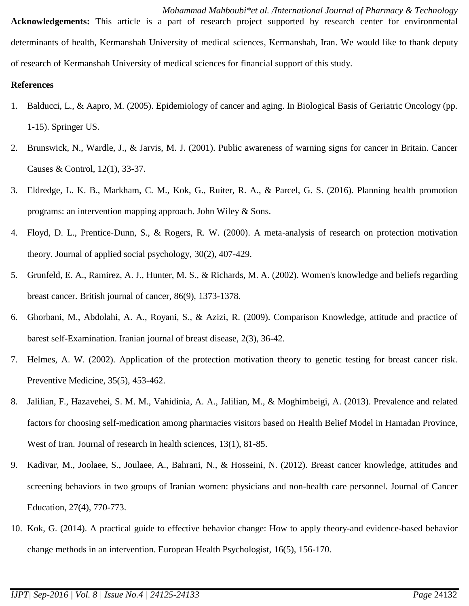*Mohammad Mahboubi\*et al. /International Journal of Pharmacy & Technology* **Acknowledgements:** This article is a part of research project supported by research center for environmental determinants of health, Kermanshah University of medical sciences, Kermanshah, Iran. We would like to thank deputy of research of Kermanshah University of medical sciences for financial support of this study.

## **References**

- 1. Balducci, L., & Aapro, M. (2005). Epidemiology of cancer and aging. In Biological Basis of Geriatric Oncology (pp. 1-15). Springer US.
- 2. Brunswick, N., Wardle, J., & Jarvis, M. J. (2001). Public awareness of warning signs for cancer in Britain. Cancer Causes & Control, 12(1), 33-37.
- 3. Eldredge, L. K. B., Markham, C. M., Kok, G., Ruiter, R. A., & Parcel, G. S. (2016). Planning health promotion programs: an intervention mapping approach. John Wiley & Sons.
- 4. Floyd, D. L., Prentice-Dunn, S., & Rogers, R. W. (2000). A meta-analysis of research on protection motivation theory. Journal of applied social psychology, 30(2), 407-429.
- 5. Grunfeld, E. A., Ramirez, A. J., Hunter, M. S., & Richards, M. A. (2002). Women's knowledge and beliefs regarding breast cancer. British journal of cancer, 86(9), 1373-1378.
- 6. Ghorbani, M., Abdolahi, A. A., Royani, S., & Azizi, R. (2009). Comparison Knowledge, attitude and practice of barest self-Examination. Iranian journal of breast disease, 2(3), 36-42.
- 7. Helmes, A. W. (2002). Application of the protection motivation theory to genetic testing for breast cancer risk. Preventive Medicine, 35(5), 453-462.
- 8. Jalilian, F., Hazavehei, S. M. M., Vahidinia, A. A., Jalilian, M., & Moghimbeigi, A. (2013). Prevalence and related factors for choosing self-medication among pharmacies visitors based on Health Belief Model in Hamadan Province, West of Iran. Journal of research in health sciences, 13(1), 81-85.
- 9. Kadivar, M., Joolaee, S., Joulaee, A., Bahrani, N., & Hosseini, N. (2012). Breast cancer knowledge, attitudes and screening behaviors in two groups of Iranian women: physicians and non-health care personnel. Journal of Cancer Education, 27(4), 770-773.
- 10. Kok, G. (2014). A practical guide to effective behavior change: How to apply theory-and evidence-based behavior change methods in an intervention. European Health Psychologist, 16(5), 156-170.